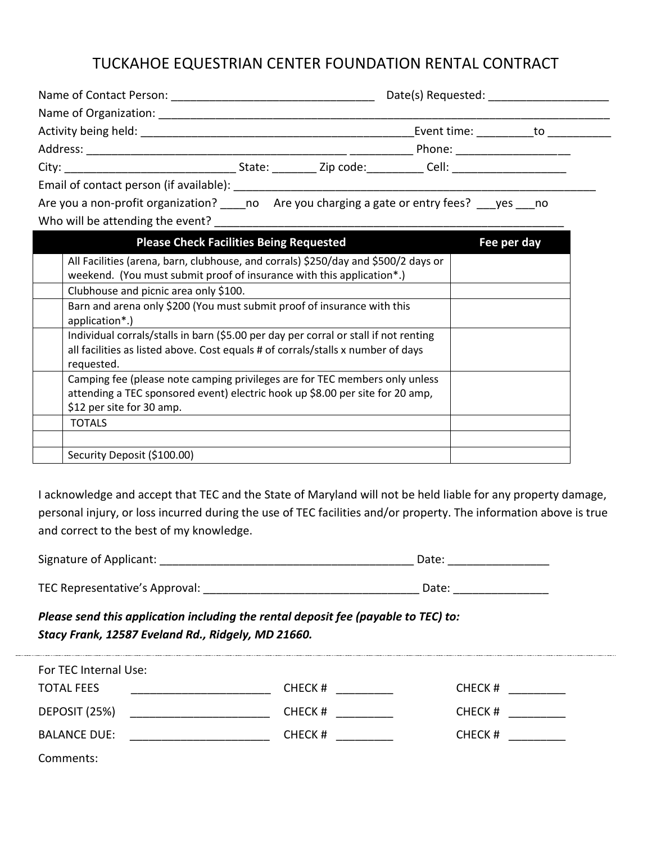## TUCKAHOE EQUESTRIAN CENTER FOUNDATION RENTAL CONTRACT

| Name of Contact Person: <u>_______________________________</u>                                                                                                                                                                 |                                                                                     |                        |                           |                                  |  |
|--------------------------------------------------------------------------------------------------------------------------------------------------------------------------------------------------------------------------------|-------------------------------------------------------------------------------------|------------------------|---------------------------|----------------------------------|--|
| Name of Organization:                                                                                                                                                                                                          |                                                                                     |                        |                           |                                  |  |
|                                                                                                                                                                                                                                |                                                                                     |                        |                           | Event time: ______ to __________ |  |
|                                                                                                                                                                                                                                |                                                                                     |                        | Phone: <u>___________</u> |                                  |  |
|                                                                                                                                                                                                                                |                                                                                     | State: Zip code: Cell: |                           |                                  |  |
| Email of contact person (if available): example and the set of the set of the set of the set of the set of the set of the set of the set of the set of the set of the set of the set of the set of the set of the set of the s |                                                                                     |                        |                           |                                  |  |
|                                                                                                                                                                                                                                | Are you a non-profit organization? no Are you charging a gate or entry fees? yes no |                        |                           |                                  |  |
| Who will be attending the event?                                                                                                                                                                                               |                                                                                     |                        |                           |                                  |  |

| <b>Please Check Facilities Being Requested</b>                                       | Fee per day |
|--------------------------------------------------------------------------------------|-------------|
| All Facilities (arena, barn, clubhouse, and corrals) \$250/day and \$500/2 days or   |             |
| weekend. (You must submit proof of insurance with this application*.)                |             |
| Clubhouse and picnic area only \$100.                                                |             |
| Barn and arena only \$200 (You must submit proof of insurance with this              |             |
| application*.)                                                                       |             |
| Individual corrals/stalls in barn (\$5.00 per day per corral or stall if not renting |             |
| all facilities as listed above. Cost equals # of corrals/stalls x number of days     |             |
| requested.                                                                           |             |
| Camping fee (please note camping privileges are for TEC members only unless          |             |
| attending a TEC sponsored event) electric hook up \$8.00 per site for 20 amp,        |             |
| \$12 per site for 30 amp.                                                            |             |
| TOTALS                                                                               |             |
|                                                                                      |             |
| Security Deposit (\$100.00)                                                          |             |
|                                                                                      |             |

I acknowledge and accept that TEC and the State of Maryland will not be held liable for any property damage, personal injury, or loss incurred during the use of TEC facilities and/or property. The information above is true and correct to the best of my knowledge.

Signature of Applicant: \_\_\_\_\_\_\_\_\_\_\_\_\_\_\_\_\_\_\_\_\_\_\_\_\_\_\_\_\_\_\_\_\_\_\_\_\_\_\_\_ Date: \_\_\_\_\_\_\_\_\_\_\_\_\_\_\_\_

TEC Representative's Approval: \_\_\_\_\_\_\_\_\_\_\_\_\_\_\_\_\_\_\_\_\_\_\_\_\_\_\_\_\_\_\_\_\_\_ Date: \_\_\_\_\_\_\_\_\_\_\_\_\_\_\_

*Please send this application including the rental deposit fee (payable to TEC) to: Stacy Frank, 12587 Eveland Rd., Ridgely, MD 21660.* 

| For TEC Internal Use: |        |        |
|-----------------------|--------|--------|
| <b>TOTAL FEES</b>     | CHECK# | CHECK# |
| DEPOSIT (25%)         | CHECK# | CHECK# |
| <b>BALANCE DUE:</b>   | CHECK# | CHECK# |
| Common                |        |        |

Comments: